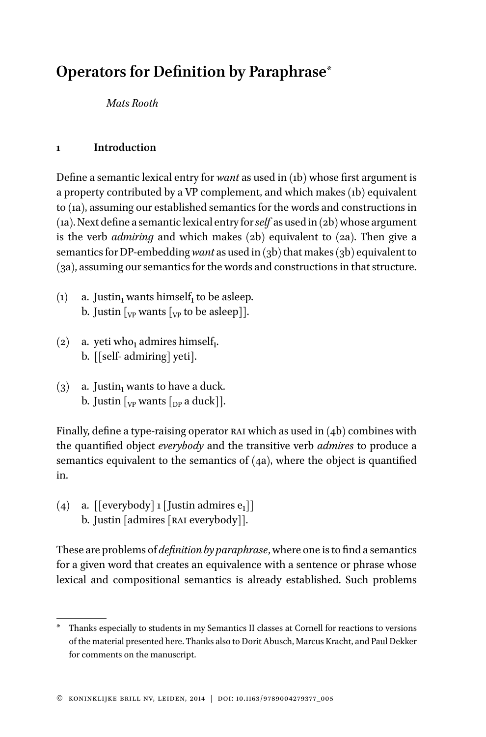# **Operators for Definition by Paraphrase**\*

*Mats Rooth*

# **1 Introduction**

Define a semantic lexical entry for *want* as used in (1b) whose first argument is a property contributed by a VP complement, and which makes (1b) equivalent to (1a), assuming our established semantics for the words and constructions in (1a). Next define a semantic lexical entry for *self* as used in  $(2b)$  whose argument is the verb *admiring* and which makes (2b) equivalent to (2a). Then give a semantics for DP-embedding *want* as used in (3b) that makes (3b) equivalent to (3a), assuming our semantics for the words and constructions in that structure.

- (1) a. Justin<sub>1</sub> wants himself<sub>1</sub> to be asleep. b. Justin  $\lceil_{VP}$  wants  $\lceil_{VP}$  to be asleep]].
- (2) a. yeti who<sub>1</sub> admires himself<sub>1</sub>. b. [[self- admiring] yeti].
- $(3)$  a. Justin<sub>1</sub> wants to have a duck. b. Justin  $\lceil_{VP}$  wants  $\lceil_{DP}$  a duck].

Finally, define a type-raising operator RAI which as used in  $(4b)$  combines with the quantified object *everybody* and the transitive verb *admires* to produce a semantics equivalent to the semantics of (4a), where the object is quantified in.

(4) a.  $\lceil \{\text{everybody}\rceil\} \rceil$  [Justin admires  $e_1$ ]] b. Justin [admires [RAI everybody]].

These are problems of *definition by paraphrase*, where one is to find a semantics for a given word that creates an equivalence with a sentence or phrase whose lexical and compositional semantics is already established. Such problems

Thanks especially to students in my Semantics II classes at Cornell for reactions to versions of the material presented here. Thanks also to Dorit Abusch, Marcus Kracht, and Paul Dekker for comments on the manuscript.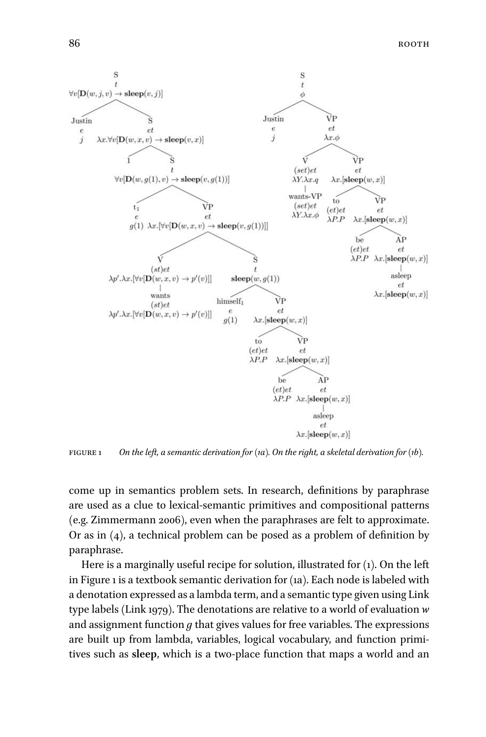

figure 1 *On the left, a semantic derivation for (1a). On the right, a skeletal derivation for (1b).*

come up in semantics problem sets. In research, definitions by paraphrase are used as a clue to lexical-semantic primitives and compositional patterns (e.g. Zimmermann 2006), even when the paraphrases are felt to approximate. Or as in (4), a technical problem can be posed as a problem of definition by paraphrase.

Here is a marginally useful recipe for solution, illustrated for (1). On the left in Figure 1 is a textbook semantic derivation for (1a). Each node is labeled with a denotation expressed as a lambda term, and a semantic type given using Link type labels (Link 1979). The denotations are relative to a world of evaluation *w* and assignment function *g* that gives values for free variables. The expressions are built up from lambda, variables, logical vocabulary, and function primitives such as **sleep**, which is a two-place function that maps a world and an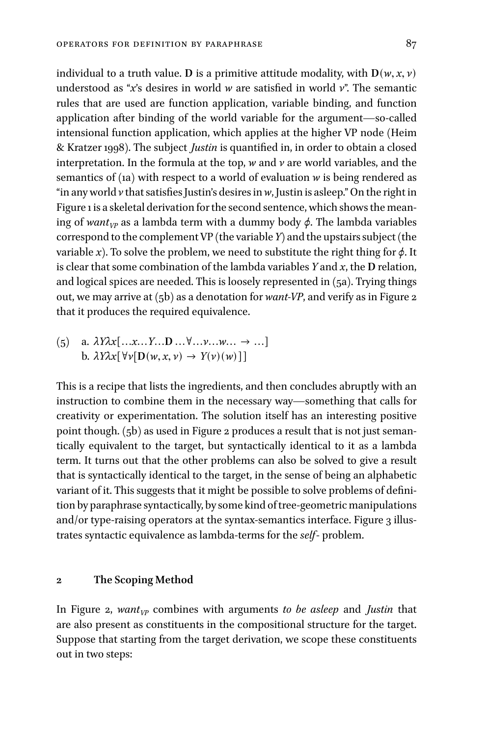individual to a truth value. **D** is a primitive attitude modality, with  $D(w, x, v)$ understood as "*x*'s desires in world *w* are satisfied in world *v*". The semantic rules that are used are function application, variable binding, and function application after binding of the world variable for the argument—so-called intensional function application, which applies at the higher VP node (Heim & Kratzer 1998). The subject *Justin* is quantified in, in order to obtain a closed interpretation. In the formula at the top, *w* and *v* are world variables, and the semantics of (1a) with respect to a world of evaluation *w* is being rendered as "in any world  $\nu$  that satisfies Justin's desires in  $w$ , Justin is asleep." On the right in Figure 1 is a skeletal derivation for the second sentence, which shows the meaning of *want*<sub>*VP*</sub> as a lambda term with a dummy body  $\phi$ . The lambda variables correspond to the complement VP (the variable *Y*) and the upstairs subject (the variable *x*). To solve the problem, we need to substitute the right thing for  $\phi$ . It is clear that some combination of the lambda variables *Y* and *x*, the **D** relation, and logical spices are needed. This is loosely represented in (5a). Trying things out, we may arrive at (5b) as a denotation for *want-VP*, and verify as in Figure 2 that it produces the required equivalence.

$$
\begin{aligned} \text{(5)} \quad \text{a. } \lambda Y \lambda x [\ldots x \ldots Y \ldots D \ldots \forall \ldots y \ldots w \ldots \rightarrow \ldots] \\ \text{b. } \lambda Y \lambda x [\forall v [D(w, x, v) \rightarrow Y(v)(w)]] \end{aligned}
$$

This is a recipe that lists the ingredients, and then concludes abruptly with an instruction to combine them in the necessary way—something that calls for creativity or experimentation. The solution itself has an interesting positive point though. (5b) as used in Figure 2 produces a result that is not just semantically equivalent to the target, but syntactically identical to it as a lambda term. It turns out that the other problems can also be solved to give a result that is syntactically identical to the target, in the sense of being an alphabetic variant of it. This suggests that it might be possible to solve problems of definition by paraphrase syntactically, by some kind of tree-geometric manipulations and/or type-raising operators at the syntax-semantics interface. Figure 3 illustrates syntactic equivalence as lambda-terms for the *self*- problem.

### **2 The Scoping Method**

In Figure 2, *wantVP* combines with arguments *to be asleep* and *Justin* that are also present as constituents in the compositional structure for the target. Suppose that starting from the target derivation, we scope these constituents out in two steps: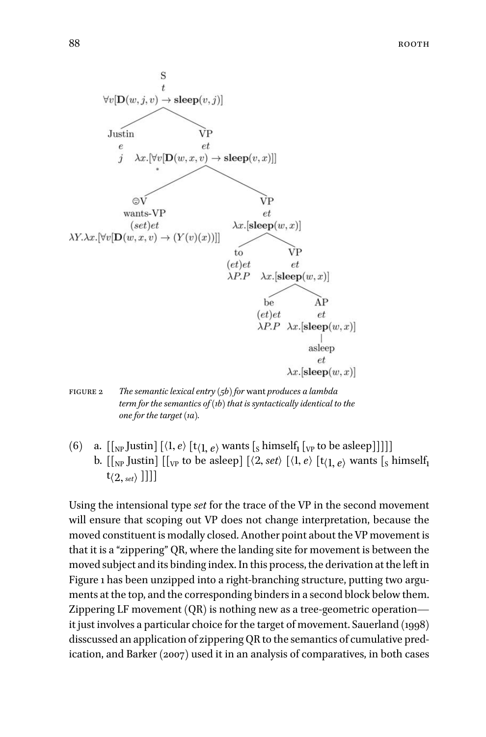



(6) a.  $[[_{NP}$  Justin]  $[\langle 1, e \rangle]$   $[t\langle 1, e \rangle]$  wants  $[s]$  himself<sub>1</sub>  $[y]$  to be asleep]]]]] b.  $[[_{NP}$  Justin]  $[[_{VP}$  to be asleep]  $[\langle 2, set \rangle]$   $[\langle 1, e \rangle]$   $[t\langle 1, e \rangle]$  wants  $[s]$  himself<sub>1</sub>  $\mathfrak{t}_{\langle 2,\,\text{\tiny set}\rangle}$  ]]]]

Using the intensional type *set* for the trace of the VP in the second movement will ensure that scoping out VP does not change interpretation, because the moved constituent is modally closed. Another point about the VP movement is that it is a "zippering" QR, where the landing site for movement is between the moved subject and its binding index.In this process, the derivation at the left in Figure 1 has been unzipped into a right-branching structure, putting two arguments at the top, and the corresponding binders in a second block below them. Zippering LF movement (QR) is nothing new as a tree-geometric operation it just involves a particular choice for the target of movement. Sauerland (1998) disscussed an application of zippering QR to the semantics of cumulative predication, and Barker (2007) used it in an analysis of comparatives, in both cases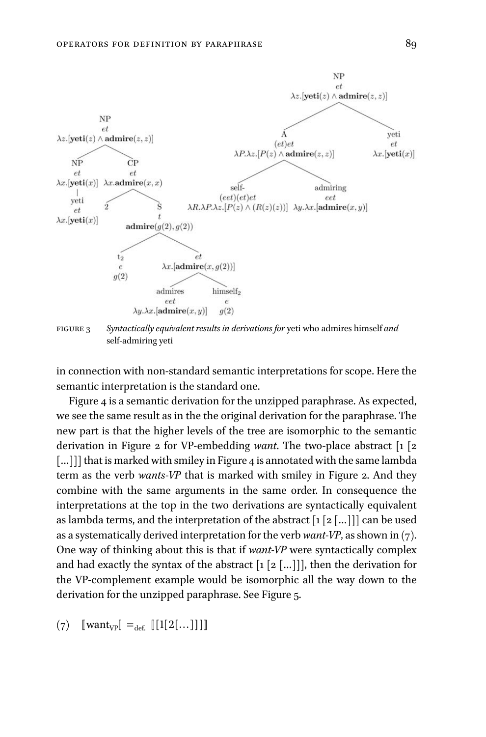

figure 3 *Syntactically equivalent results in derivations for* yeti who admires himself *and* self-admiring yeti

in connection with non-standard semantic interpretations for scope. Here the semantic interpretation is the standard one.

Figure 4 is a semantic derivation for the unzipped paraphrase. As expected, we see the same result as in the the original derivation for the paraphrase. The new part is that the higher levels of the tree are isomorphic to the semantic derivation in Figure 2 for VP-embedding *want*. The two-place abstract [1 [2 [...]]] that is marked with smiley in Figure 4 is annotated with the same lambda term as the verb *wants-VP* that is marked with smiley in Figure 2. And they combine with the same arguments in the same order. In consequence the interpretations at the top in the two derivations are syntactically equivalent as lambda terms, and the interpretation of the abstract  $[1 \ 2 \ldots]]$  can be used as a systematically derived interpretation for the verb *want-VP*, as shown in (7). One way of thinking about this is that if *want-VP* were syntactically complex and had exactly the syntax of the abstract  $\lceil 1 \rceil 2 \lceil ... \rceil$ ], then the derivation for the VP-complement example would be isomorphic all the way down to the derivation for the unzipped paraphrase. See Figure 5.

 $(7) \quad [\text{want}_{VP}] =_{def.} [[1[2[...]]]]$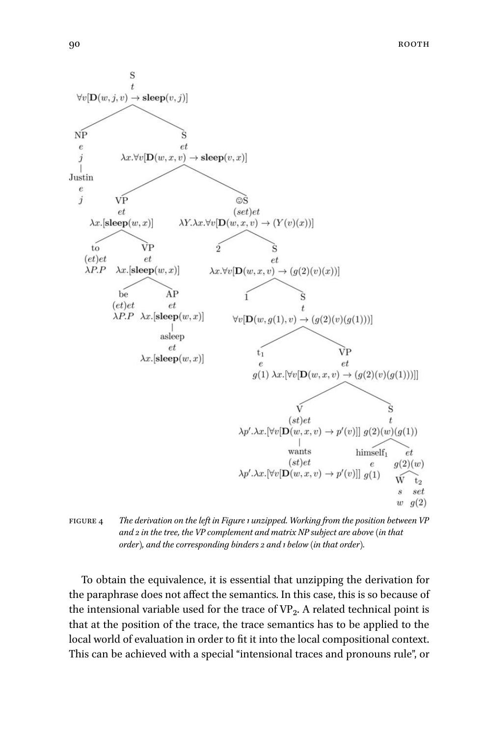

figure 4 *The derivation on the left in Figure 1 unzipped. Working from the position between VP and 2 in the tree, the VP complement and matrix NP subject are above (in that order), and the corresponding binders 2 and 1 below (in that order).*

To obtain the equivalence, it is essential that unzipping the derivation for the paraphrase does not affect the semantics. In this case, this is so because of the intensional variable used for the trace of VP<sub>2</sub>. A related technical point is that at the position of the trace, the trace semantics has to be applied to the local world of evaluation in order to fit it into the local compositional context. This can be achieved with a special "intensional traces and pronouns rule", or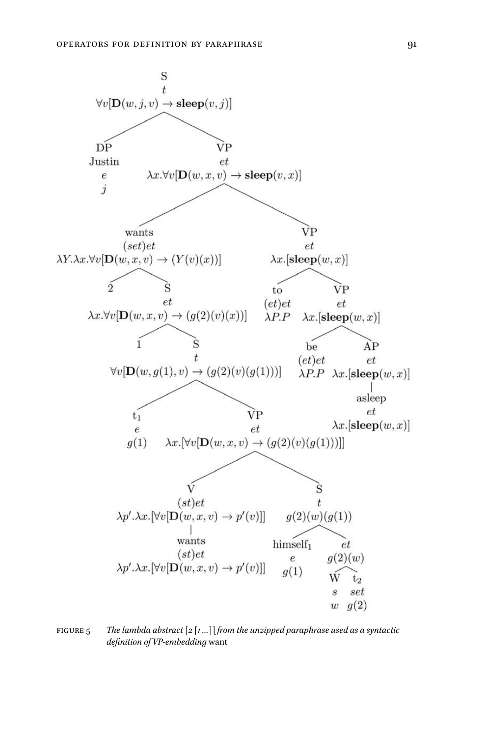

figure 5 *The lambda abstract [2 [1 …]] from the unzipped paraphrase used as a syntactic definition of VP-embedding* want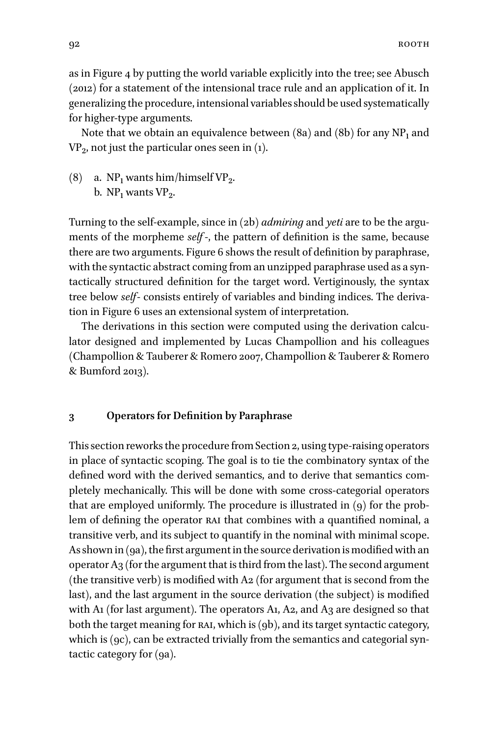as in Figure 4 by putting the world variable explicitly into the tree; see Abusch (2012) for a statement of the intensional trace rule and an application of it. In generalizing the procedure, intensional variables should be used systematically for higher-type arguments.

Note that we obtain an equivalence between  $(8a)$  and  $(8b)$  for any NP<sub>1</sub> and  $VP_2$ , not just the particular ones seen in (1).

(8) a.  $NP_1$  wants him/himself  $VP_2$ . b.  $NP_1$  wants  $VP_2$ .

Turning to the self-example, since in (2b) *admiring* and *yeti* are to be the arguments of the morpheme *self* -, the pattern of definition is the same, because there are two arguments. Figure 6 shows the result of definition by paraphrase, with the syntactic abstract coming from an unzipped paraphrase used as a syntactically structured definition for the target word. Vertiginously, the syntax tree below *self*- consists entirely of variables and binding indices. The derivation in Figure 6 uses an extensional system of interpretation.

The derivations in this section were computed using the derivation calculator designed and implemented by Lucas Champollion and his colleagues (Champollion & Tauberer & Romero 2007, Champollion & Tauberer & Romero & Bumford 2013).

#### **3 Operators for Definition by Paraphrase**

This section reworks the procedure from Section 2, using type-raising operators in place of syntactic scoping. The goal is to tie the combinatory syntax of the defined word with the derived semantics, and to derive that semantics completely mechanically. This will be done with some cross-categorial operators that are employed uniformly. The procedure is illustrated in (9) for the problem of defining the operator rai that combines with a quantified nominal, a transitive verb, and its subject to quantify in the nominal with minimal scope. As shown in (9a), the first argument in the source derivation is modified with an operator A3 (for the argument that is third from the last). The second argument (the transitive verb) is modified with A2 (for argument that is second from the last), and the last argument in the source derivation (the subject) is modified with A1 (for last argument). The operators A1, A2, and A3 are designed so that both the target meaning for RAI, which is (9b), and its target syntactic category, which is (9c), can be extracted trivially from the semantics and categorial syntactic category for (9a).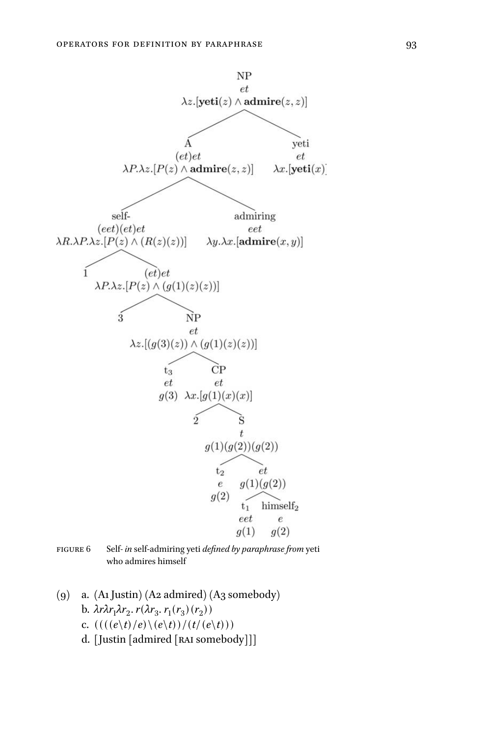

figure 6 Self*- in* self-admiring yeti *defined by paraphrase from* yeti who admires himself

- (9) a. (A1 Justin) (A2 admired) (A3 somebody) b.  $\lambda r \lambda r_1 \lambda r_2$ .  $r(\lambda r_3, r_1(r_3)(r_2))$ c.  $(((((e\backslash t)/e)\backslash(e\backslash t))/(t/(e\backslash t)))$ 
	- d. [Justin [admired [RAI somebody]]]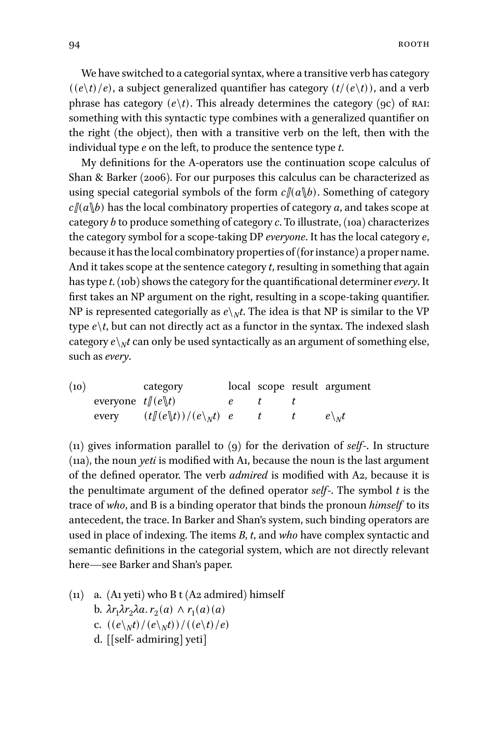We have switched to a categorial syntax, where a transitive verb has category  $((e\backslash t)/e)$ , a subject generalized quantifier has category  $(t/(e\backslash t))$ , and a verb phrase has category  $(e\backslash t)$ . This already determines the category  $(9c)$  of RAI: something with this syntactic type combines with a generalized quantifier on the right (the object), then with a transitive verb on the left, then with the individual type *e* on the left, to produce the sentence type *t*.

My definitions for the A-operators use the continuation scope calculus of Shan & Barker (2006). For our purposes this calculus can be characterized as using special categorial symbols of the form  $c/(a\|b)$ . Something of category  $c\mathcal{L}(a\mathcal{L})$  has the local combinatory properties of category *a*, and takes scope at category *b* to produce something of category *c*. To illustrate, (10a) characterizes the category symbol for a scope-taking DP *everyone*. It has the local category *e*, because it has the local combinatory properties of (for instance) a proper name. And it takes scope at the sentence category *t*, resulting in something that again has type *t*. (10b) shows the category for the quantificational determiner*every*. It first takes an NP argument on the right, resulting in a scope-taking quantifier. NP is represented categorially as  $e\mathcal{R}$  the idea is that NP is similar to the VP type  $e\backslash t$ , but can not directly act as a functor in the syntax. The indexed slash category  $e\mathord{\setminus_{N}} t$  can only be used syntactically as an argument of something else, such as*every*.

| (10) |                       | category                                             |  | local scope result argument |
|------|-----------------------|------------------------------------------------------|--|-----------------------------|
|      | everyone $t/(e \, t)$ |                                                      |  |                             |
|      | every                 | $(t\llbracket (e\rrbracket t))/(e\rrbracket_{N}t)$ e |  | $e\mathcal{R}_{N}t$         |

(11) gives information parallel to (9) for the derivation of *self*-. In structure (11a), the noun *yeti* is modified with A1, because the noun is the last argument of the defined operator. The verb *admired* is modified with A2, because it is the penultimate argument of the defined operator *self*-. The symbol *t* is the trace of *who*, and B is a binding operator that binds the pronoun *himself* to its antecedent, the trace. In Barker and Shan's system, such binding operators are used in place of indexing. The items *B*, *t*, and *who* have complex syntactic and semantic definitions in the categorial system, which are not directly relevant here—see Barker and Shan's paper.

(11) a. (A1 yeti) who B t (A2 admired) himself **b.**  $\lambda r_1 \lambda r_2 \lambda a$ .  $r_2(a) \wedge r_1(a)(a)$ c.  $((e\gamma_M t)/(e\gamma_M t))/(e\gamma_H t)e$ d. [[self- admiring] yeti]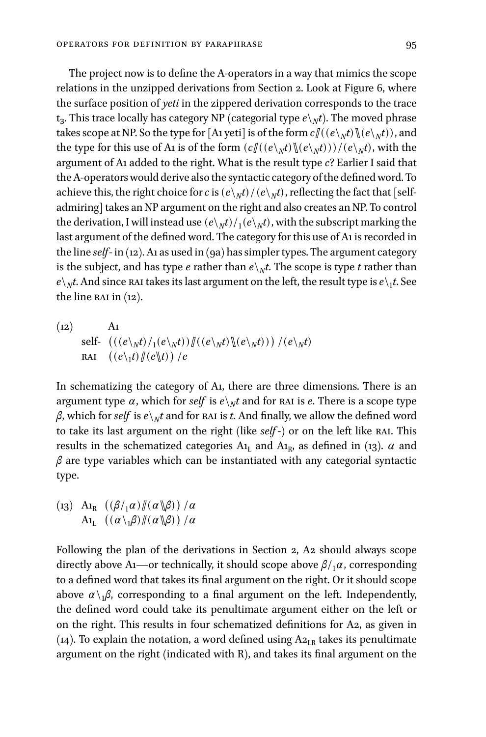The project now is to define the A-operators in a way that mimics the scope relations in the unzipped derivations from Section 2. Look at Figure 6, where the surface position of *yeti* in the zippered derivation corresponds to the trace  $\mathbf{t}_3$ . This trace locally has category NP (categorial type  $e\mathbf{\setminus}_{N}t$ ). The moved phrase takes scope at NP. So the type for [A1 yeti] is of the form  $c\mathcal{U}((e\setminus_N t)\mathcal{U}(e\setminus_N t))$ , and the type for this use of A1 is of the form  $(c \mathcal{U}((e \setminus_N t) \mathcal{U}(e \setminus_N t)) / (e \setminus_N t)$ , with the argument of A1 added to the right. What is the result type *c*? Earlier I said that the A-operators would derive also the syntactic category of the defined word. To achieve this, the right choice for *c* is  $(e\setminus_N t)/(e\setminus_N t)$ , reflecting the fact that [selfadmiring] takes an NP argument on the right and also creates an NP. To control the derivation, I will instead use  $(e\mathcal{h}_N t)/_1 (e\mathcal{h}_N t)$ , with the subscript marking the last argument of the defined word. The category for this use of A1 is recorded in the line *self*- in (12). A1 as used in (9a) has simpler types. The argument category is the subject, and has type  $e$  rather than  $e\mathord{\scriptstyle\backslash_{N}} t.$  The scope is type  $t$  rather than  $e\!\setminus_{N}\!t$ . And since  $\operatorname{RAI}$  takes its last argument on the left, the result type is  $e\!\setminus_{1}\!t$ . See the line RAI in  $(12)$ .

(12)   
 self- 
$$
((e\psi)/e\psi)/e(\psi)/e(\psi)/e\psi)
$$
  $/(e\psi)/e\psi$   
 RAI  $((e\psi)/e\psi)/e$ 

In schematizing the category of A1, there are three dimensions. There is an argument type  $\alpha$ , which for  $\mathit{self}$  is  $e\setminus_N t$  and for  $\texttt{RAI}$  is  $e$ . There is a scope type *β*, which for  $self$  is  $e \setminus Nt$  and for  $RA$ I is  $t$ . And finally, we allow the defined word to take its last argument on the right (like *self* -) or on the left like rai. This results in the schematized categories  $A_{l_L}$  and  $A_{l_R}$ , as defined in (13).  $\alpha$  and *β* are type variables which can be instantiated with any categorial syntactic type.

$$
\begin{array}{cc}\n\text{(13)} & \text{A}_{1_R} & \left( \frac{\beta}{1} \alpha \right) \frac{\pi}{\alpha} \\
\text{A}_{1_L} & \left( \frac{\alpha \cdot \beta}{\beta} \frac{\pi \cdot \alpha}{\beta} \right) / \alpha\n\end{array}
$$

Following the plan of the derivations in Section 2, A2 should always scope directly above A<sub>1</sub>—or technically, it should scope above  $\beta/1\alpha$ , corresponding to a defined word that takes its final argument on the right. Or it should scope above  $\alpha \setminus \beta$ , corresponding to a final argument on the left. Independently, the defined word could take its penultimate argument either on the left or on the right. This results in four schematized definitions for A2, as given in (14). To explain the notation, a word defined using  $A_{2_{LR}}$  takes its penultimate argument on the right (indicated with R), and takes its final argument on the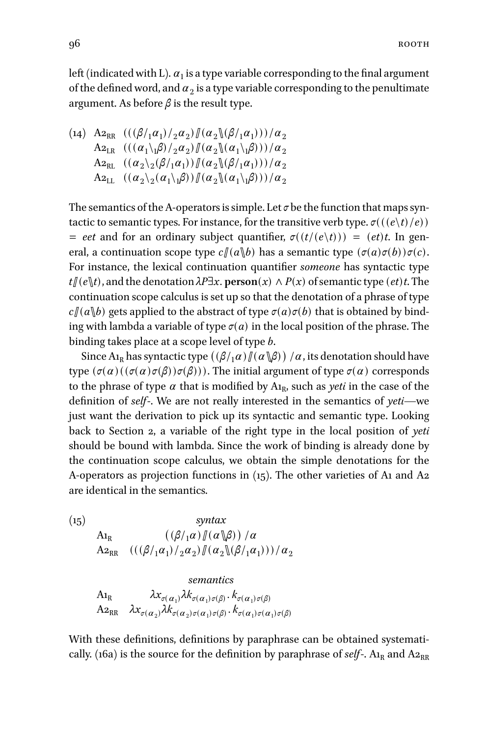left (indicated with L).  $a_{\rm 1}$  is a type variable corresponding to the final argument of the defined word, and  $a_2$  is a type variable corresponding to the penultimate argument. As before *β* is the result type.

$$
(14) \begin{array}{l} \text{A2}_{RR} \end{array} \begin{array}{l} \left( ((\beta/_{1}\alpha_{1})/_{2}\alpha_{2}) \mathbb{I}(\alpha_{2}\mathbb{I}(\beta/_{1}\alpha_{1})) \right) / \alpha_{2} \\ \text{A2}_{LR} \end{array} \begin{array}{l} \left( ((\alpha_{1}\mathbf{1}_{1}\beta)/_{2}\alpha_{2}) \mathbb{I}(\alpha_{2}\mathbb{I}(\alpha_{1}\mathbf{1}_{1}\beta)) \right) / \alpha_{2} \\ \text{A2}_{RL} \end{array} \begin{array}{l} \left( (\alpha_{2}\mathbf{1}_{2}\beta/_{1}\alpha_{1}) \right) \mathbb{I}(\alpha_{2}\mathbb{I}(\beta/_{1}\alpha_{1}))) / \alpha_{2} \\ \text{A2}_{LL} \end{array}
$$
\n
$$
\begin{array}{l} \text{A2}_{LL} \end{array}
$$

The semantics of the A-operators is simple. Let  $\sigma$  be the function that maps syntactic to semantic types. For instance, for the transitive verb type.  $\sigma(((e\backslash t)/e))$  $=$  *eet* and for an ordinary subject quantifier,  $\sigma((t/(e\setminus t))) = (et)t$ . In general, a continuation scope type  $c\mathcal{J}(a\backslash b)$  has a semantic type  $(\sigma(a)\sigma(b))\sigma(c)$ . For instance, the lexical continuation quantifier *someone* has syntactic type  $t/(e\mathbf{k}t)$ , and the denotation  $\lambda P\exists x$ . **person**(*x*)  $\wedge P(x)$  of semantic type (*et*)*t*. The continuation scope calculus is set up so that the denotation of a phrase of type  $c\mathcal{J}(a\mathcal{J}b)$  gets applied to the abstract of type  $\sigma(a)\sigma(b)$  that is obtained by binding with lambda a variable of type  $\sigma(a)$  in the local position of the phrase. The binding takes place at a scope level of type *b*.

Since A<sub>1R</sub> has syntactic type  $((\beta/\gamma a) / \gamma (\alpha \setminus \beta)) / \alpha$ , its denotation should have type  $(σ(α)((σ(α)σ(β))σ(β))$ . The initial argument of type  $σ(α)$  corresponds to the phrase of type  $\alpha$  that is modified by  $A_{1R}$ , such as *yeti* in the case of the definition of *self*-. We are not really interested in the semantics of *yeti*—we just want the derivation to pick up its syntactic and semantic type. Looking back to Section 2, a variable of the right type in the local position of *yeti* should be bound with lambda. Since the work of binding is already done by the continuation scope calculus, we obtain the simple denotations for the A-operators as projection functions in (15). The other varieties of A1 and A2 are identical in the semantics.

(15) *syntax* A<sub>1R</sub>  $((\beta/\beta)\,/\,\alpha)(\alpha\,\beta)) / \alpha$  $A_{2_{RR}} \quad (((\beta/_{1}\alpha_{1})/_{2}\alpha_{2})/(\alpha_{2}\mathcal{A}(\beta/_{1}\alpha_{1})))/\alpha_{2}$ 

> *semantics*  $\lambda x_{\sigma(\alpha_1)} \lambda k_{\sigma(\alpha_1)\sigma(\beta)}$ .  $k_{\sigma(\alpha_1)\sigma(\beta)}$  $A2_{RR}$   $\lambda x_{\sigma(\alpha_2)}\lambda k_{\sigma(\alpha_2)\sigma(\alpha_1)\sigma(\beta)}$ .  $k_{\sigma(\alpha_1)\sigma(\alpha_1)\sigma(\beta)}$

With these definitions, definitions by paraphrase can be obtained systematically. (16a) is the source for the definition by paraphrase of *self*-.  $A_{1R}$  and  $A_{2RR}$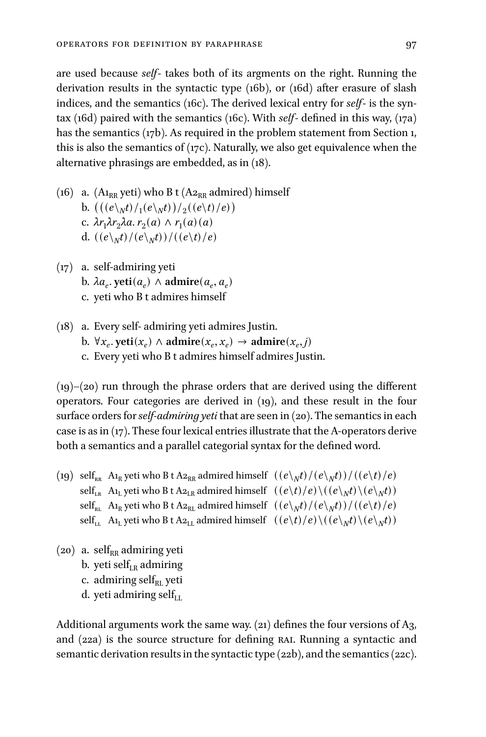are used because *self*- takes both of its argments on the right. Running the derivation results in the syntactic type (16b), or (16d) after erasure of slash indices, and the semantics (16c). The derived lexical entry for *self*- is the syntax (16d) paired with the semantics (16c). With *self*- defined in this way, (17a) has the semantics (17b). As required in the problem statement from Section 1, this is also the semantics of (17c). Naturally, we also get equivalence when the alternative phrasings are embedded, as in (18).

- (16) a.  $(A_{1_{RR}}$  yeti) who B t  $(A_{2_{RR}}$  admired) himself b.  $(((e\gamma t)/e\gamma t)/(e\gamma t)/e)$  $c. \lambda r_1 \lambda r_2 \lambda a. r_2(a) \wedge r_1(a) (a)$ d.  $((e\gamma_M t)/(e\gamma_M t))/(e\gamma_H t)e$
- (17) a. self-admiring yeti b.  $\lambda a_e$ . yeti $(a_e) \wedge$  admire $(a_e, a_e)$ c. yeti who B t admires himself
- (18) a. Every self- admiring yeti admires Justin. b.  $\forall x_e$   $\text{yeti}(x_e) \land \text{admire}(x_e, x_e) \rightarrow \text{admire}(x_e, j)$ c. Every yeti who B t admires himself admires Justin.

 $(19)$ – $(20)$  run through the phrase orders that are derived using the different operators. Four categories are derived in (19), and these result in the four surface orders for*self-admiring yeti* that are seen in (20). The semantics in each case is as in  $(17)$ . These four lexical entries illustrate that the A-operators derive both a semantics and a parallel categorial syntax for the defined word.

- (19) self<sub>RR</sub> A1<sub>R</sub> yeti who B t A2<sub>RR</sub> admired himself  $((e\gamma_M t)/(e\gamma_M t))/(e\gamma_t e)$  $\text{self}_{\text{LR}}$  A<sub>1</sub> yeti who B t A<sub>2<sub>LR</sub> admired himself  $((e\backslash t)/e)\backslash((e\backslash_N t)\backslash(e\backslash_N t))$ </sub>  $\text{self}_{\text{\tiny{RL}}}$  A<sub>1</sub> yeti who B t A<sub>2<sub>RL</sub></sub> admired himself  $((e\backslash_{N}t)/(e\backslash_{N}t))/((e\backslash t)/e)$  $\text{self}_{\text{LL}}$  A<sub>1</sub> yeti who B t A<sub>2<sub>LL</sub></sub> admired himself  $((e\backslash t)/e)\backslash((e\backslash_{N}t)\backslash(e\backslash_{N}t))$
- $(20)$  a. self<sub>RR</sub> admiring yeti b. yeti sel $f_{LR}$  admiring c. admiring self $_{\rm RL}$  yeti d. yeti admiring self $_{\rm LL}$

Additional arguments work the same way. (21) defines the four versions of A3, and (22a) is the source structure for defining RAI. Running a syntactic and semantic derivation results in the syntactic type (22b), and the semantics (22c).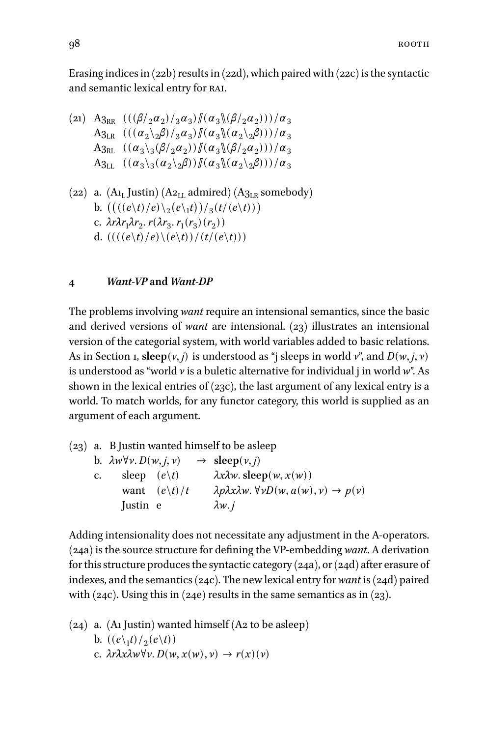Erasing indices in  $(22b)$  results in  $(22d)$ , which paired with  $(22c)$  is the syntactic and semantic lexical entry for rai.

$$
(21) \quad A_{3RR} \quad (((\beta/2\alpha_2)/3\alpha_3) || (\alpha_3 || (\beta/2\alpha_2)))/\alpha_3 A_{3LR} \quad (((\alpha_2 \lambda_2 \beta)/3\alpha_3) || (\alpha_3 || (\alpha_2 \lambda_2 \beta)))/\alpha_3 A_{3RL} \quad ((\alpha_3 \lambda_3 (\beta/2\alpha_2)) || (\alpha_3 || (\beta/2\alpha_2)))/\alpha_3 A_{3LL} \quad ((\alpha_3 \lambda_3 (\alpha_2 \lambda_2 \beta)) || (\alpha_3 || (\alpha_2 \lambda_2 \beta)))/\alpha_3
$$

(22) a. (A<sub>L</sub> Justin) (A<sub>2<sub>LL</sub></sub> admired) (A<sub>3<sub>LR</sub></sub> somebody)  
b. 
$$
\left( \left( \frac{e\cdot t}{e} \right) e \right) \frac{2}{2} \left( e \right) f \right) / \frac{3}{3} \left( f \left( e \right) f \right)
$$
  
c.  $\lambda r \lambda r_1 \lambda r_2 \cdot r \left( \lambda r_3 \cdot r_1(r_3) (r_2) \right)$   
d.  $\left( \frac{((e\cdot t)/e) \cdot (e\cdot t)}{(f\cdot (e\cdot t))} \right)$ 

## **4** *Want-VP* **and** *Want-DP*

The problems involving *want* require an intensional semantics, since the basic and derived versions of *want* are intensional. (23) illustrates an intensional version of the categorial system, with world variables added to basic relations. As in Section 1,  $\text{sleep}(v, j)$  is understood as "*j* sleeps in world *v*", and  $D(w, j, v)$ is understood as "world *v* is a buletic alternative for individual j in world *w*". As shown in the lexical entries of (23c), the last argument of any lexical entry is a world. To match worlds, for any functor category, this world is supplied as an argument of each argument.

(23) a. B Justin wanted himself to be asleep  $b. \lambda w \forall v. D(w, j, v)$  → **sleep**(*ν*, *j*) c. sleep  $(e\backslash t)$  *λxλw*. sleep $(w, x(w))$ want  $(e\backslash t)/t$   $\lambda p\lambda x\lambda w. \forall vD(w, a(w), v) \rightarrow p(v)$ Justin e *λw*. *j*

Adding intensionality does not necessitate any adjustment in the A-operators. (24a) is the source structure for defining the VP-embedding *want*. A derivation for this structure produces the syntactic category  $(24a)$ , or  $(24d)$  after erasure of indexes, and the semantics (24c). The new lexical entry for *want* is (24d) paired with (24c). Using this in (24e) results in the same semantics as in (23).

\n- (24) a. (A1 Justin) wanted himself (A2 to be asleep) b. 
$$
((e \setminus_1 t) / (e \setminus t))
$$
\n- c.  $\lambda r \lambda x \lambda w \forall v$ .  $D(w, x(w), v) \rightarrow r(x)(v)$
\n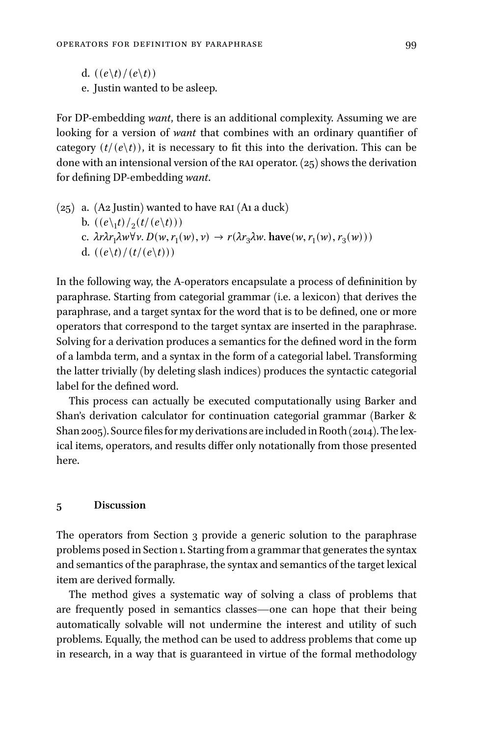- d.  $((e\backslash t)/(e\backslash t))$
- e. Justin wanted to be asleep.

For DP-embedding *want*, there is an additional complexity. Assuming we are looking for a version of *want* that combines with an ordinary quantifier of category  $(t/(e \backslash t))$ , it is necessary to fit this into the derivation. This can be done with an intensional version of the RAI operator.  $(z_5)$  shows the derivation for defining DP-embedding *want*.

 $(25)$  a. (A2 Justin) wanted to have RAI (A1 a duck) b.  $((e\_1 t)/2(t/(e\_t)))$ c.  $\lambda r \lambda r_1 \lambda w \forall v. D(w, r_1(w), v) \rightarrow r(\lambda r_3 \lambda w. \text{ have}(w, r_1(w), r_3(w)))$ d.  $((e\backslash t)/(t/(e\backslash t)))$ 

In the following way, the A-operators encapsulate a process of defininition by paraphrase. Starting from categorial grammar (i.e. a lexicon) that derives the paraphrase, and a target syntax for the word that is to be defined, one or more operators that correspond to the target syntax are inserted in the paraphrase. Solving for a derivation produces a semantics for the defined word in the form of a lambda term, and a syntax in the form of a categorial label. Transforming the latter trivially (by deleting slash indices) produces the syntactic categorial label for the defined word.

This process can actually be executed computationally using Barker and Shan's derivation calculator for continuation categorial grammar (Barker & Shan 2005). Source files for my derivations are included in Rooth (2014). The lexical items, operators, and results differ only notationally from those presented here.

#### **5 Discussion**

The operators from Section 3 provide a generic solution to the paraphrase problems posed in Section 1. Starting from a grammar that generates the syntax and semantics of the paraphrase, the syntax and semantics of the target lexical item are derived formally.

The method gives a systematic way of solving a class of problems that are frequently posed in semantics classes—one can hope that their being automatically solvable will not undermine the interest and utility of such problems. Equally, the method can be used to address problems that come up in research, in a way that is guaranteed in virtue of the formal methodology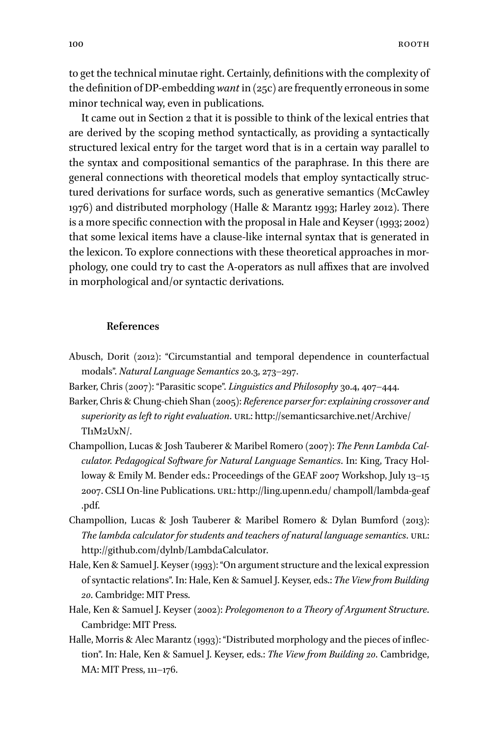to get the technical minutae right. Certainly, definitions with the complexity of the definition of DP-embedding *want* in (25c) are frequently erroneous in some minor technical way, even in publications.

It came out in Section 2 that it is possible to think of the lexical entries that are derived by the scoping method syntactically, as providing a syntactically structured lexical entry for the target word that is in a certain way parallel to the syntax and compositional semantics of the paraphrase. In this there are general connections with theoretical models that employ syntactically structured derivations for surface words, such as generative semantics (McCawley 1976) and distributed morphology (Halle & Marantz 1993; Harley 2012). There is a more specific connection with the proposal in Hale and Keyser (1993; 2002) that some lexical items have a clause-like internal syntax that is generated in the lexicon. To explore connections with these theoretical approaches in morphology, one could try to cast the A-operators as null affixes that are involved in morphological and/or syntactic derivations.

#### **References**

- Abusch, Dorit (2012): "Circumstantial and temporal dependence in counterfactual modals". *Natural Language Semantics* 20.3, 273–297.
- Barker, Chris (2007): "Parasitic scope". *Linguistics and Philosophy* 30.4, 407–444.
- Barker, Chris & Chung-chieh Shan (2005): *Reference parser for: explaining crossover and* superiority as left to right evaluation. URL: [http://semanticsarchive.net/Archive/](http://semanticsarchive.net/Archive/TI1M2UxN/) [TI1M2UxN/](http://semanticsarchive.net/Archive/TI1M2UxN/).
- Champollion, Lucas & Josh Tauberer & Maribel Romero (2007): *The Penn Lambda Calculator. Pedagogical Software for Natural Language Semantics*. In: King, Tracy Holloway & Emily M. Bender eds.: Proceedings of the GEAF 2007 Workshop, July 13-15 2007. CSLI On-line Publications. URL: [http://ling.upenn.edu/ champoll/lambda-geaf](http://ling.upenn.edu/penalty @M  champoll/lambda-geaf.pdf) [.pdf](http://ling.upenn.edu/penalty @M  champoll/lambda-geaf.pdf).
- Champollion, Lucas & Josh Tauberer & Maribel Romero & Dylan Bumford (2013): *The lambda calculator for students and teachers of natural language semantics.* URL: [http://github.com/dylnb/LambdaCalculator.](http://github.com/dylnb/LambdaCalculator)
- Hale, Ken & Samuel J. Keyser (1993): "On argument structure and the lexical expression of syntactic relations". In: Hale, Ken & Samuel J. Keyser, eds.: *The View from Building 20*. Cambridge: MIT Press.
- Hale, Ken & Samuel J. Keyser (2002): *Prolegomenon to a Theory of Argument Structure*. Cambridge: MIT Press.
- Halle, Morris & Alec Marantz (1993): "Distributed morphology and the pieces of inflection". In: Hale, Ken & Samuel J. Keyser, eds.: *The View from Building 20*. Cambridge, MA: MIT Press, 111–176.